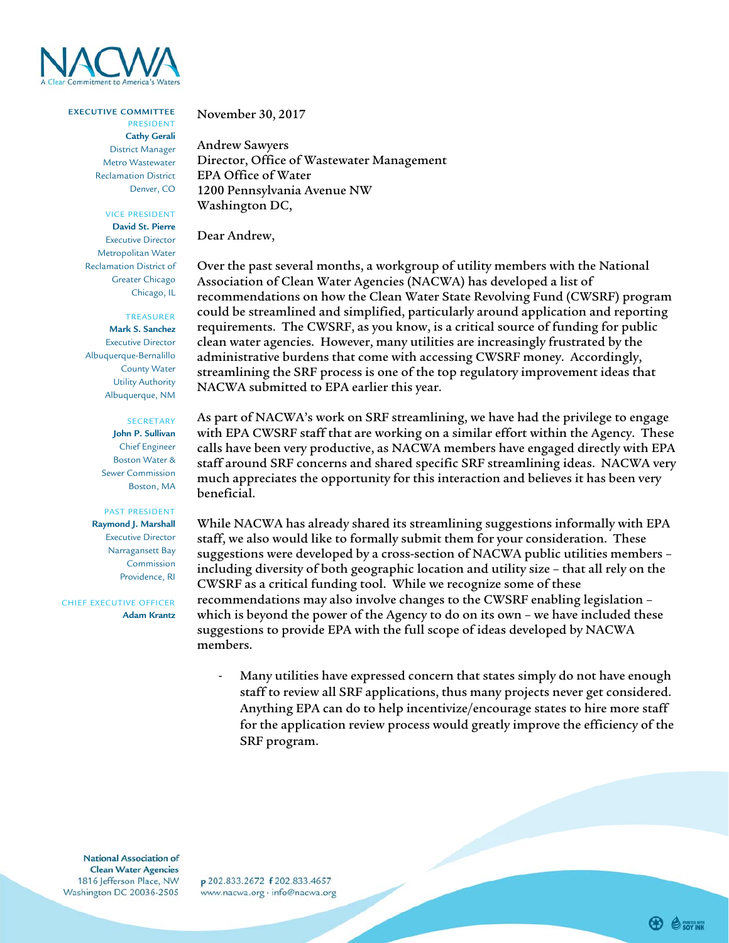

### **EXECUTIVE COMMITTEE**

PRESIDENT **Cathy Gerali**  District Manager Metro Wastewater Reclamation District Denver, CO

#### VICE PRESIDENT

**David St. Pierre** Executive Director Metropolitan Water Reclamation District of Greater Chicago Chicago, IL

# TREASURER

**Mark S. Sanchez** Executive Director Albuquerque-Bernalillo County Water Utility Authority Albuquerque, NM

#### SECRETARY

**John P. Sullivan** Chief Engineer Boston Water & Sewer Commission Boston, MA

# PAST PRESIDENT

**Raymond J. Marshall**  Executive Director Narragansett Bay Commission Providence, RI

CHIEF EXECUTIVE OFFICER **Adam Krantz**

# November 30, 2017

Andrew Sawyers Director, Office of Wastewater Management EPA Office of Water 1200 Pennsylvania Avenue NW Washington DC,

Dear Andrew,

Over the past several months, a workgroup of utility members with the National Association of Clean Water Agencies (NACWA) has developed a list of recommendations on how the Clean Water State Revolving Fund (CWSRF) program could be streamlined and simplified, particularly around application and reporting requirements. The CWSRF, as you know, is a critical source of funding for public clean water agencies. However, many utilities are increasingly frustrated by the administrative burdens that come with accessing CWSRF money. Accordingly, streamlining the SRF process is one of the top regulatory improvement ideas that NACWA submitted to EPA earlier this year.

As part of NACWA's work on SRF streamlining, we have had the privilege to engage with EPA CWSRF staff that are working on a similar effort within the Agency. These calls have been very productive, as NACWA members have engaged directly with EPA staff around SRF concerns and shared specific SRF streamlining ideas. NACWA very much appreciates the opportunity for this interaction and believes it has been very beneficial.

While NACWA has already shared its streamlining suggestions informally with EPA staff, we also would like to formally submit them for your consideration. These suggestions were developed by a cross-section of NACWA public utilities members – including diversity of both geographic location and utility size – that all rely on the CWSRF as a critical funding tool. While we recognize some of these recommendations may also involve changes to the CWSRF enabling legislation – which is beyond the power of the Agency to do on its own – we have included these suggestions to provide EPA with the full scope of ideas developed by NACWA members.

‐ Many utilities have expressed concern that states simply do not have enough staff to review all SRF applications, thus many projects never get considered. Anything EPA can do to help incentivize/encourage states to hire more staff for the application review process would greatly improve the efficiency of the SRF program.

National Association of **Clean Water Agencies** 1816 Jefferson Place, NW Washington DC 20036-2505

p 202.833.2672 f 202.833.4657 www.nacwa.org · info@nacwa.org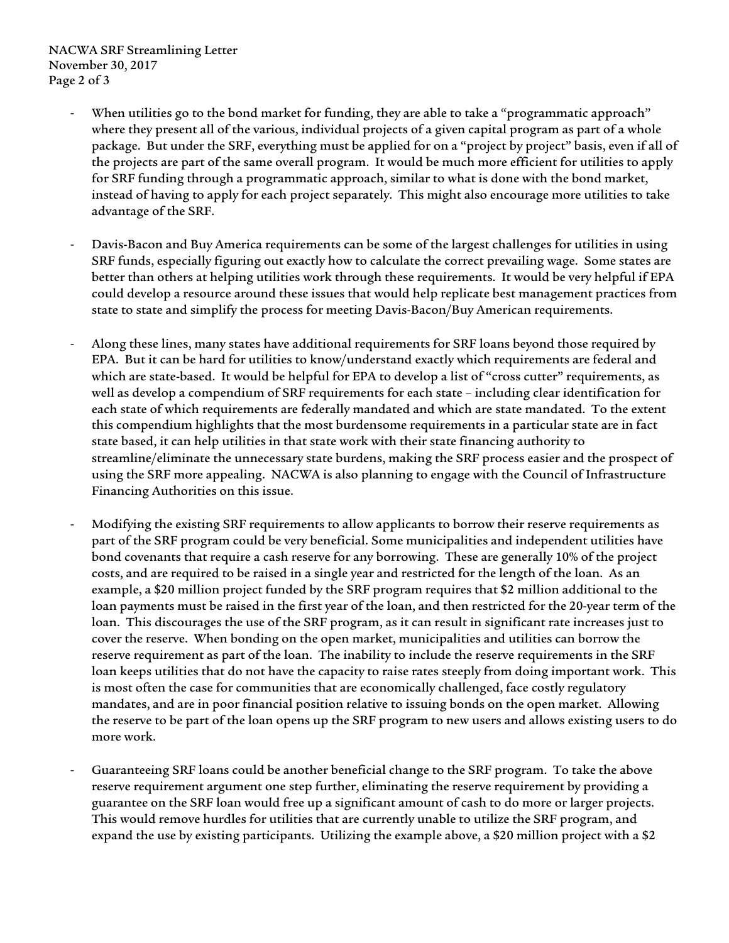- When utilities go to the bond market for funding, they are able to take a "programmatic approach" where they present all of the various, individual projects of a given capital program as part of a whole package. But under the SRF, everything must be applied for on a "project by project" basis, even if all of the projects are part of the same overall program. It would be much more efficient for utilities to apply for SRF funding through a programmatic approach, similar to what is done with the bond market, instead of having to apply for each project separately. This might also encourage more utilities to take advantage of the SRF.
- ‐ Davis-Bacon and Buy America requirements can be some of the largest challenges for utilities in using SRF funds, especially figuring out exactly how to calculate the correct prevailing wage. Some states are better than others at helping utilities work through these requirements. It would be very helpful if EPA could develop a resource around these issues that would help replicate best management practices from state to state and simplify the process for meeting Davis-Bacon/Buy American requirements.
- ‐ Along these lines, many states have additional requirements for SRF loans beyond those required by EPA. But it can be hard for utilities to know/understand exactly which requirements are federal and which are state-based. It would be helpful for EPA to develop a list of "cross cutter" requirements, as well as develop a compendium of SRF requirements for each state – including clear identification for each state of which requirements are federally mandated and which are state mandated. To the extent this compendium highlights that the most burdensome requirements in a particular state are in fact state based, it can help utilities in that state work with their state financing authority to streamline/eliminate the unnecessary state burdens, making the SRF process easier and the prospect of using the SRF more appealing. NACWA is also planning to engage with the Council of Infrastructure Financing Authorities on this issue.
- ‐ Modifying the existing SRF requirements to allow applicants to borrow their reserve requirements as part of the SRF program could be very beneficial. Some municipalities and independent utilities have bond covenants that require a cash reserve for any borrowing. These are generally 10% of the project costs, and are required to be raised in a single year and restricted for the length of the loan. As an example, a \$20 million project funded by the SRF program requires that \$2 million additional to the loan payments must be raised in the first year of the loan, and then restricted for the 20-year term of the loan. This discourages the use of the SRF program, as it can result in significant rate increases just to cover the reserve. When bonding on the open market, municipalities and utilities can borrow the reserve requirement as part of the loan. The inability to include the reserve requirements in the SRF loan keeps utilities that do not have the capacity to raise rates steeply from doing important work. This is most often the case for communities that are economically challenged, face costly regulatory mandates, and are in poor financial position relative to issuing bonds on the open market. Allowing the reserve to be part of the loan opens up the SRF program to new users and allows existing users to do more work.
- ‐ Guaranteeing SRF loans could be another beneficial change to the SRF program. To take the above reserve requirement argument one step further, eliminating the reserve requirement by providing a guarantee on the SRF loan would free up a significant amount of cash to do more or larger projects. This would remove hurdles for utilities that are currently unable to utilize the SRF program, and expand the use by existing participants. Utilizing the example above, a \$20 million project with a \$2